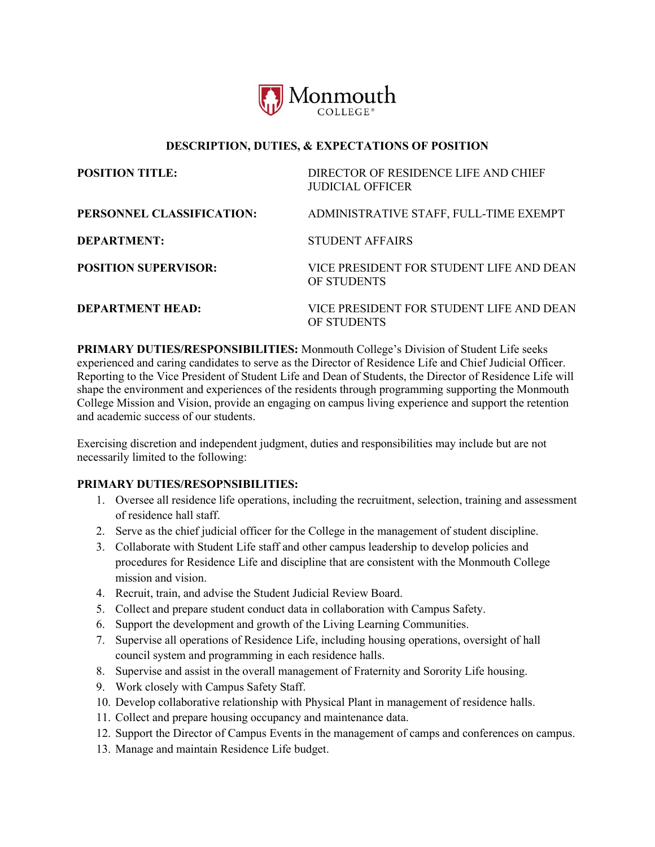

## **DESCRIPTION, DUTIES, & EXPECTATIONS OF POSITION**

| <b>POSITION TITLE:</b>      | DIRECTOR OF RESIDENCE LIFE AND CHIEF<br>JUDICIAL OFFICER |
|-----------------------------|----------------------------------------------------------|
| PERSONNEL CLASSIFICATION:   | ADMINISTRATIVE STAFF, FULL-TIME EXEMPT                   |
| <b>DEPARTMENT:</b>          | <b>STUDENT AFFAIRS</b>                                   |
| <b>POSITION SUPERVISOR:</b> | VICE PRESIDENT FOR STUDENT LIFE AND DEAN<br>OF STUDENTS  |
| <b>DEPARTMENT HEAD:</b>     | VICE PRESIDENT FOR STUDENT LIFE AND DEAN<br>OF STUDENTS  |

**PRIMARY DUTIES/RESPONSIBILITIES:** Monmouth College's Division of Student Life seeks experienced and caring candidates to serve as the Director of Residence Life and Chief Judicial Officer. Reporting to the Vice President of Student Life and Dean of Students, the Director of Residence Life will shape the environment and experiences of the residents through programming supporting the Monmouth College Mission and Vision, provide an engaging on campus living experience and support the retention and academic success of our students.

Exercising discretion and independent judgment, duties and responsibilities may include but are not necessarily limited to the following:

## **PRIMARY DUTIES/RESOPNSIBILITIES:**

- 1. Oversee all residence life operations, including the recruitment, selection, training and assessment of residence hall staff.
- 2. Serve as the chief judicial officer for the College in the management of student discipline.
- 3. Collaborate with Student Life staff and other campus leadership to develop policies and procedures for Residence Life and discipline that are consistent with the Monmouth College mission and vision.
- 4. Recruit, train, and advise the Student Judicial Review Board.
- 5. Collect and prepare student conduct data in collaboration with Campus Safety.
- 6. Support the development and growth of the Living Learning Communities.
- 7. Supervise all operations of Residence Life, including housing operations, oversight of hall council system and programming in each residence halls.
- 8. Supervise and assist in the overall management of Fraternity and Sorority Life housing.
- 9. Work closely with Campus Safety Staff.
- 10. Develop collaborative relationship with Physical Plant in management of residence halls.
- 11. Collect and prepare housing occupancy and maintenance data.
- 12. Support the Director of Campus Events in the management of camps and conferences on campus.
- 13. Manage and maintain Residence Life budget.